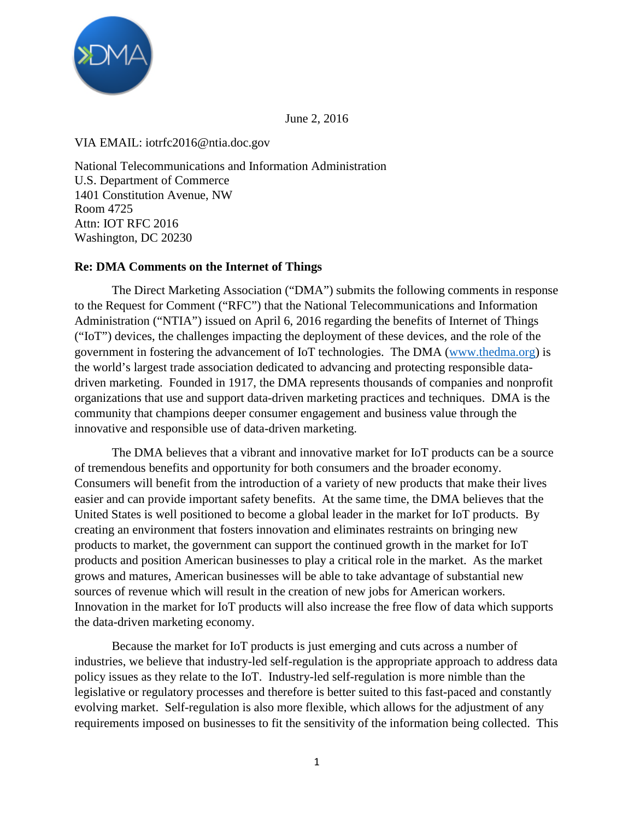

June 2, 2016

VIA EMAIL: iotrfc2016@ntia.doc.gov

National Telecommunications and Information Administration U.S. Department of Commerce 1401 Constitution Avenue, NW Room 4725 Attn: IOT RFC 2016 Washington, DC 20230

## **Re: DMA Comments on the Internet of Things**

The Direct Marketing Association ("DMA") submits the following comments in response to the Request for Comment ("RFC") that the National Telecommunications and Information Administration ("NTIA") issued on April 6, 2016 regarding the benefits of Internet of Things ("IoT") devices, the challenges impacting the deployment of these devices, and the role of the government in fostering the advancement of IoT technologies. The DMA (www.thedma.org) is the world's largest trade association dedicated to advancing and protecting responsible datadriven marketing. Founded in 1917, the DMA represents thousands of companies and nonprofit organizations that use and support data-driven marketing practices and techniques. DMA is the community that champions deeper consumer engagement and business value through the innovative and responsible use of data-driven marketing.

The DMA believes that a vibrant and innovative market for IoT products can be a source of tremendous benefits and opportunity for both consumers and the broader economy. Consumers will benefit from the introduction of a variety of new products that make their lives easier and can provide important safety benefits. At the same time, the DMA believes that the United States is well positioned to become a global leader in the market for IoT products. By creating an environment that fosters innovation and eliminates restraints on bringing new products to market, the government can support the continued growth in the market for IoT products and position American businesses to play a critical role in the market. As the market grows and matures, American businesses will be able to take advantage of substantial new sources of revenue which will result in the creation of new jobs for American workers. Innovation in the market for IoT products will also increase the free flow of data which supports the data-driven marketing economy.

Because the market for IoT products is just emerging and cuts across a number of industries, we believe that industry-led self-regulation is the appropriate approach to address data policy issues as they relate to the IoT. Industry-led self-regulation is more nimble than the legislative or regulatory processes and therefore is better suited to this fast-paced and constantly evolving market. Self-regulation is also more flexible, which allows for the adjustment of any requirements imposed on businesses to fit the sensitivity of the information being collected. This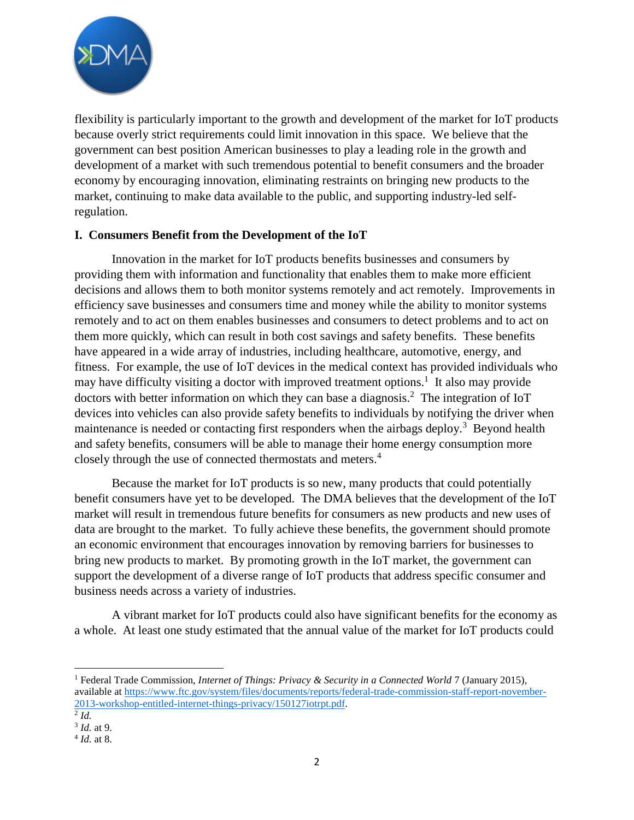

flexibility is particularly important to the growth and development of the market for IoT products because overly strict requirements could limit innovation in this space. We believe that the government can best position American businesses to play a leading role in the growth and development of a market with such tremendous potential to benefit consumers and the broader economy by encouraging innovation, eliminating restraints on bringing new products to the market, continuing to make data available to the public, and supporting industry-led selfregulation.

## **I. Consumers Benefit from the Development of the IoT**

Innovation in the market for IoT products benefits businesses and consumers by providing them with information and functionality that enables them to make more efficient decisions and allows them to both monitor systems remotely and act remotely. Improvements in efficiency save businesses and consumers time and money while the ability to monitor systems remotely and to act on them enables businesses and consumers to detect problems and to act on them more quickly, which can result in both cost savings and safety benefits. These benefits have appeared in a wide array of industries, including healthcare, automotive, energy, and fitness. For example, the use of IoT devices in the medical context has provided individuals who may have difficulty visiting a doctor with improved treatment options.<sup>1</sup> It also may provide doctors with better information on which they can base a diagnosis.<sup>2</sup> The integration of IoT devices into vehicles can also provide safety benefits to individuals by notifying the driver when maintenance is needed or contacting first responders when the airbags deploy.<sup>3</sup> Beyond health and safety benefits, consumers will be able to manage their home energy consumption more closely through the use of connected thermostats and meters.<sup>4</sup>

Because the market for IoT products is so new, many products that could potentially benefit consumers have yet to be developed. The DMA believes that the development of the IoT market will result in tremendous future benefits for consumers as new products and new uses of data are brought to the market. To fully achieve these benefits, the government should promote an economic environment that encourages innovation by removing barriers for businesses to bring new products to market. By promoting growth in the IoT market, the government can support the development of a diverse range of IoT products that address specific consumer and business needs across a variety of industries.

A vibrant market for IoT products could also have significant benefits for the economy as a whole. At least one study estimated that the annual value of the market for IoT products could

<sup>1</sup> Federal Trade Commission, *Internet of Things: Privacy & Security in a Connected World* 7 (January 2015), available at https://www.ftc.gov/system/files/documents/reports/federal-trade-commission-staff-report-november-2013-workshop-entitled-internet-things-privacy/150127iotrpt.pdf.

<sup>2</sup> *Id.*

<sup>3</sup> *Id.* at 9.

<sup>4</sup> *Id.* at 8.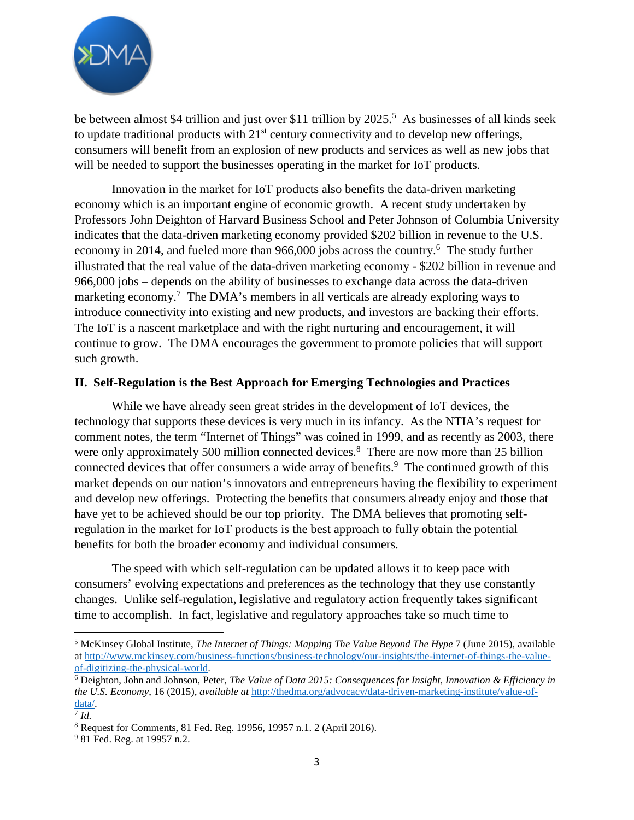

be between almost \$4 trillion and just over \$11 trillion by 2025.<sup>5</sup> As businesses of all kinds seek to update traditional products with  $21<sup>st</sup>$  century connectivity and to develop new offerings, consumers will benefit from an explosion of new products and services as well as new jobs that will be needed to support the businesses operating in the market for IoT products.

Innovation in the market for IoT products also benefits the data-driven marketing economy which is an important engine of economic growth. A recent study undertaken by Professors John Deighton of Harvard Business School and Peter Johnson of Columbia University indicates that the data-driven marketing economy provided \$202 billion in revenue to the U.S. economy in 2014, and fueled more than 966,000 jobs across the country.<sup>6</sup> The study further illustrated that the real value of the data-driven marketing economy - \$202 billion in revenue and 966,000 jobs – depends on the ability of businesses to exchange data across the data-driven marketing economy.<sup>7</sup> The DMA's members in all verticals are already exploring ways to introduce connectivity into existing and new products, and investors are backing their efforts. The IoT is a nascent marketplace and with the right nurturing and encouragement, it will continue to grow. The DMA encourages the government to promote policies that will support such growth.

## **II. Self-Regulation is the Best Approach for Emerging Technologies and Practices**

While we have already seen great strides in the development of IoT devices, the technology that supports these devices is very much in its infancy. As the NTIA's request for comment notes, the term "Internet of Things" was coined in 1999, and as recently as 2003, there were only approximately 500 million connected devices.<sup>8</sup> There are now more than 25 billion connected devices that offer consumers a wide array of benefits.<sup>9</sup> The continued growth of this market depends on our nation's innovators and entrepreneurs having the flexibility to experiment and develop new offerings. Protecting the benefits that consumers already enjoy and those that have yet to be achieved should be our top priority. The DMA believes that promoting selfregulation in the market for IoT products is the best approach to fully obtain the potential benefits for both the broader economy and individual consumers.

The speed with which self-regulation can be updated allows it to keep pace with consumers' evolving expectations and preferences as the technology that they use constantly changes. Unlike self-regulation, legislative and regulatory action frequently takes significant time to accomplish. In fact, legislative and regulatory approaches take so much time to

<sup>5</sup> McKinsey Global Institute, *The Internet of Things: Mapping The Value Beyond The Hype* 7 (June 2015), available at http://www.mckinsey.com/business-functions/business-technology/our-insights/the-internet-of-things-the-valueof-digitizing-the-physical-world.

<sup>6</sup> Deighton, John and Johnson, Peter, *The Value of Data 2015: Consequences for Insight, Innovation & Efficiency in the U.S. Economy*, 16 (2015), *available at* http://thedma.org/advocacy/data-driven-marketing-institute/value-ofdata/.

<sup>7</sup> *Id.*

<sup>8</sup> Request for Comments, 81 Fed. Reg. 19956, 19957 n.1. 2 (April 2016).

<sup>9</sup> 81 Fed. Reg. at 19957 n.2.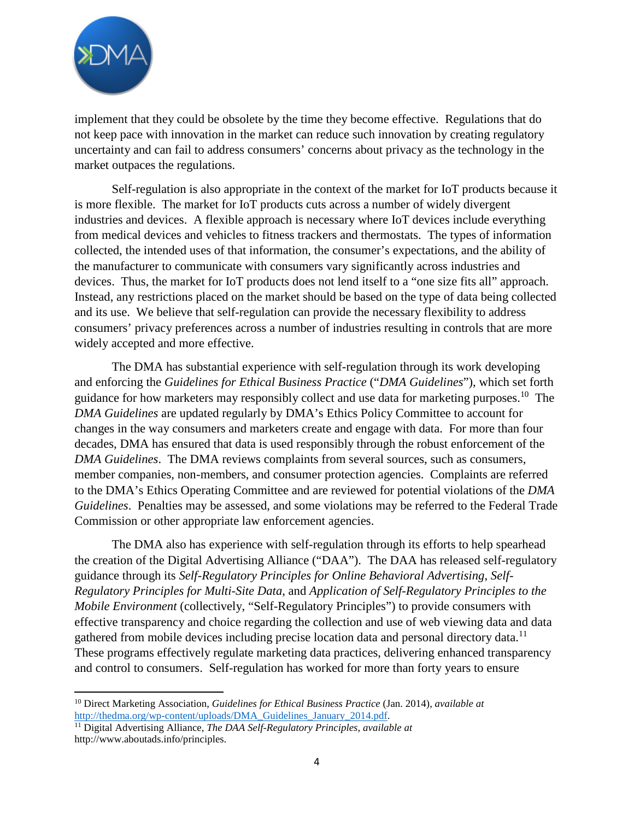

implement that they could be obsolete by the time they become effective. Regulations that do not keep pace with innovation in the market can reduce such innovation by creating regulatory uncertainty and can fail to address consumers' concerns about privacy as the technology in the market outpaces the regulations.

Self-regulation is also appropriate in the context of the market for IoT products because it is more flexible. The market for IoT products cuts across a number of widely divergent industries and devices. A flexible approach is necessary where IoT devices include everything from medical devices and vehicles to fitness trackers and thermostats. The types of information collected, the intended uses of that information, the consumer's expectations, and the ability of the manufacturer to communicate with consumers vary significantly across industries and devices. Thus, the market for IoT products does not lend itself to a "one size fits all" approach. Instead, any restrictions placed on the market should be based on the type of data being collected and its use. We believe that self-regulation can provide the necessary flexibility to address consumers' privacy preferences across a number of industries resulting in controls that are more widely accepted and more effective.

The DMA has substantial experience with self-regulation through its work developing and enforcing the *Guidelines for Ethical Business Practice* ("*DMA Guidelines*"), which set forth guidance for how marketers may responsibly collect and use data for marketing purposes.<sup>10</sup> The *DMA Guidelines* are updated regularly by DMA's Ethics Policy Committee to account for changes in the way consumers and marketers create and engage with data. For more than four decades, DMA has ensured that data is used responsibly through the robust enforcement of the *DMA Guidelines*. The DMA reviews complaints from several sources, such as consumers, member companies, non-members, and consumer protection agencies. Complaints are referred to the DMA's Ethics Operating Committee and are reviewed for potential violations of the *DMA Guidelines*. Penalties may be assessed, and some violations may be referred to the Federal Trade Commission or other appropriate law enforcement agencies.

The DMA also has experience with self-regulation through its efforts to help spearhead the creation of the Digital Advertising Alliance ("DAA"). The DAA has released self-regulatory guidance through its *Self-Regulatory Principles for Online Behavioral Advertising*, *Self-Regulatory Principles for Multi-Site Data*, and *Application of Self-Regulatory Principles to the Mobile Environment* (collectively, "Self-Regulatory Principles") to provide consumers with effective transparency and choice regarding the collection and use of web viewing data and data gathered from mobile devices including precise location data and personal directory data.<sup>11</sup> These programs effectively regulate marketing data practices, delivering enhanced transparency and control to consumers. Self-regulation has worked for more than forty years to ensure

<sup>10</sup> Direct Marketing Association, *Guidelines for Ethical Business Practice* (Jan. 2014), *available at* http://thedma.org/wp-content/uploads/DMA\_Guidelines\_January\_2014.pdf.

<sup>11</sup> Digital Advertising Alliance, *The DAA Self-Regulatory Principles*, *available at* http://www.aboutads.info/principles.